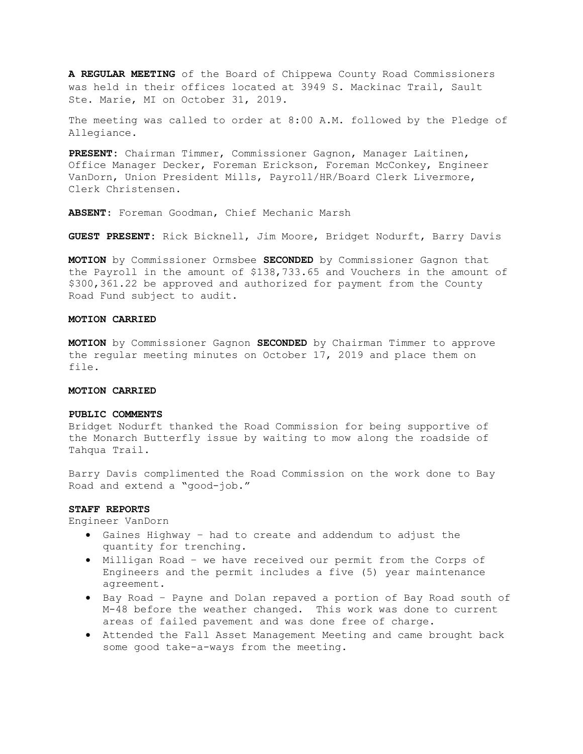A REGULAR MEETING of the Board of Chippewa County Road Commissioners was held in their offices located at 3949 S. Mackinac Trail, Sault Ste. Marie, MI on October 31, 2019.

The meeting was called to order at 8:00 A.M. followed by the Pledge of Allegiance.

PRESENT: Chairman Timmer, Commissioner Gagnon, Manager Laitinen, Office Manager Decker, Foreman Erickson, Foreman McConkey, Engineer VanDorn, Union President Mills, Payroll/HR/Board Clerk Livermore, Clerk Christensen.

ABSENT: Foreman Goodman, Chief Mechanic Marsh

GUEST PRESENT: Rick Bicknell, Jim Moore, Bridget Nodurft, Barry Davis

MOTION by Commissioner Ormsbee SECONDED by Commissioner Gagnon that the Payroll in the amount of \$138,733.65 and Vouchers in the amount of \$300,361.22 be approved and authorized for payment from the County Road Fund subject to audit.

## MOTION CARRIED

MOTION by Commissioner Gagnon SECONDED by Chairman Timmer to approve the regular meeting minutes on October 17, 2019 and place them on file.

#### MOTION CARRIED

## PUBLIC COMMENTS

Bridget Nodurft thanked the Road Commission for being supportive of the Monarch Butterfly issue by waiting to mow along the roadside of Tahqua Trail.

Barry Davis complimented the Road Commission on the work done to Bay Road and extend a "good-job."

## STAFF REPORTS

Engineer VanDorn

- Gaines Highway had to create and addendum to adjust the quantity for trenching.
- Milligan Road we have received our permit from the Corps of Engineers and the permit includes a five (5) year maintenance agreement.
- Bay Road Payne and Dolan repaved a portion of Bay Road south of M-48 before the weather changed. This work was done to current areas of failed pavement and was done free of charge.
- Attended the Fall Asset Management Meeting and came brought back some good take-a-ways from the meeting.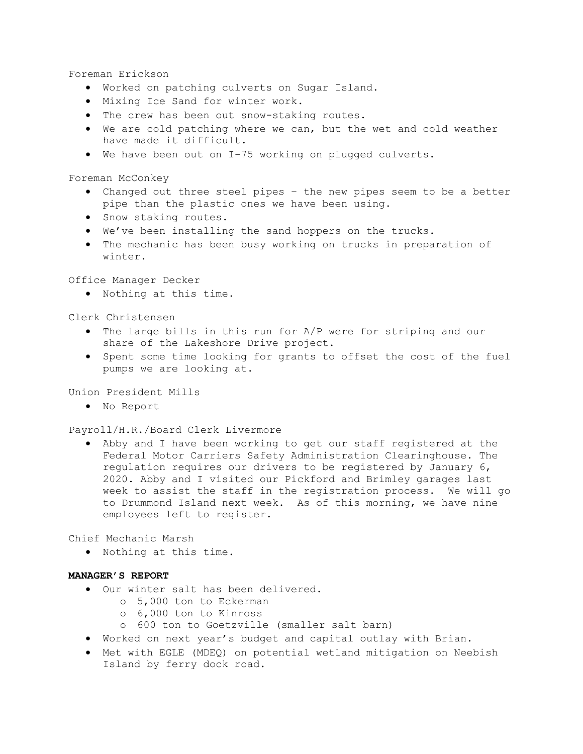Foreman Erickson

- Worked on patching culverts on Sugar Island.
- Mixing Ice Sand for winter work.
- . The crew has been out snow-staking routes.
- We are cold patching where we can, but the wet and cold weather have made it difficult.
- We have been out on I-75 working on plugged culverts.

Foreman McConkey

- Changed out three steel pipes the new pipes seem to be a better pipe than the plastic ones we have been using.
- **•** Snow staking routes.
- We've been installing the sand hoppers on the trucks.
- The mechanic has been busy working on trucks in preparation of winter.

Office Manager Decker

Nothing at this time.

Clerk Christensen

- The large bills in this run for A/P were for striping and our share of the Lakeshore Drive project.
- Spent some time looking for grants to offset the cost of the fuel pumps we are looking at.

Union President Mills

No Report

Payroll/H.R./Board Clerk Livermore

 Abby and I have been working to get our staff registered at the Federal Motor Carriers Safety Administration Clearinghouse. The regulation requires our drivers to be registered by January 6, 2020. Abby and I visited our Pickford and Brimley garages last week to assist the staff in the registration process. We will go to Drummond Island next week. As of this morning, we have nine employees left to register.

Chief Mechanic Marsh

Nothing at this time.

## MANAGER'S REPORT

- Our winter salt has been delivered.
	- o 5,000 ton to Eckerman
	- o 6,000 ton to Kinross
	- o 600 ton to Goetzville (smaller salt barn)
- Worked on next year's budget and capital outlay with Brian.
- Met with EGLE (MDEQ) on potential wetland mitigation on Neebish Island by ferry dock road.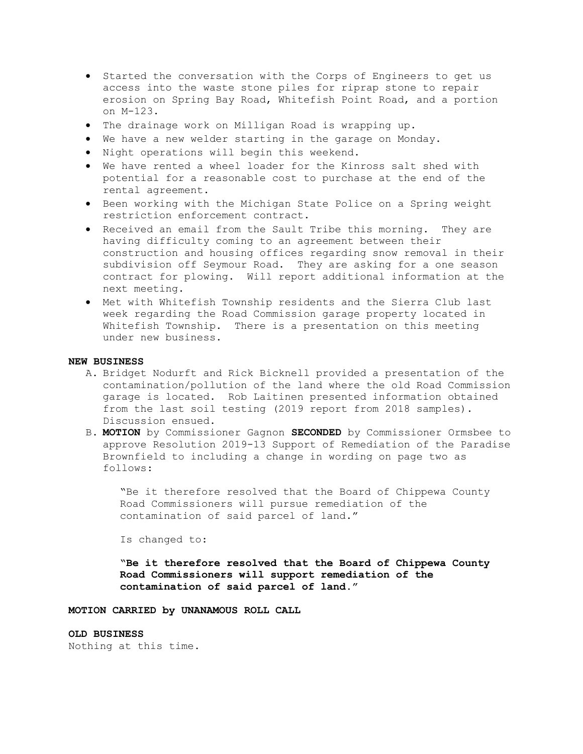- Started the conversation with the Corps of Engineers to get us access into the waste stone piles for riprap stone to repair erosion on Spring Bay Road, Whitefish Point Road, and a portion on M-123.
- The drainage work on Milligan Road is wrapping up.
- We have a new welder starting in the garage on Monday.
- . Night operations will begin this weekend.
- We have rented a wheel loader for the Kinross salt shed with potential for a reasonable cost to purchase at the end of the rental agreement.
- Been working with the Michigan State Police on a Spring weight restriction enforcement contract.
- Received an email from the Sault Tribe this morning. They are having difficulty coming to an agreement between their construction and housing offices regarding snow removal in their subdivision off Seymour Road. They are asking for a one season contract for plowing. Will report additional information at the next meeting.
- Met with Whitefish Township residents and the Sierra Club last week regarding the Road Commission garage property located in Whitefish Township. There is a presentation on this meeting under new business.

## NEW BUSINESS

- A. Bridget Nodurft and Rick Bicknell provided a presentation of the contamination/pollution of the land where the old Road Commission garage is located. Rob Laitinen presented information obtained from the last soil testing (2019 report from 2018 samples). Discussion ensued.
- B. MOTION by Commissioner Gagnon SECONDED by Commissioner Ormsbee to approve Resolution 2019-13 Support of Remediation of the Paradise Brownfield to including a change in wording on page two as follows:

"Be it therefore resolved that the Board of Chippewa County Road Commissioners will pursue remediation of the contamination of said parcel of land."

Is changed to:

"Be it therefore resolved that the Board of Chippewa County Road Commissioners will support remediation of the contamination of said parcel of land."

MOTION CARRIED by UNANAMOUS ROLL CALL

#### OLD BUSINESS

Nothing at this time.